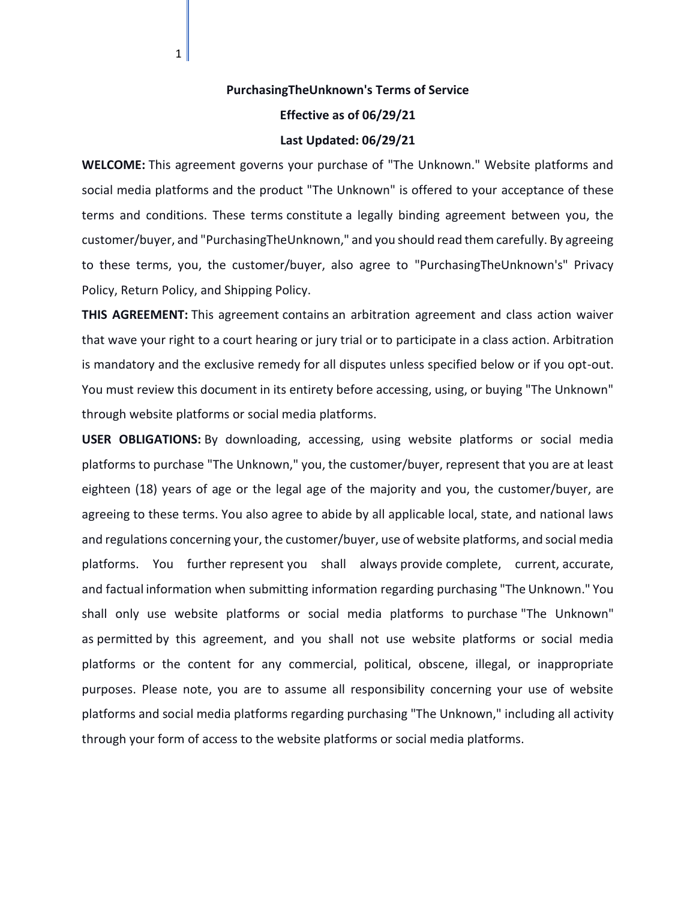## **PurchasingTheUnknown's Terms of Service Effective as of 06/29/21**

 $1|$ 

## **Last Updated: 06/29/21**

**WELCOME:** This agreement governs your purchase of "The Unknown." Website platforms and social media platforms and the product "The Unknown" is offered to your acceptance of these terms and conditions. These terms constitute a legally binding agreement between you, the customer/buyer, and "PurchasingTheUnknown," and you should read them carefully. By agreeing to these terms, you, the customer/buyer, also agree to "PurchasingTheUnknown's" Privacy Policy, Return Policy, and Shipping Policy.

**THIS AGREEMENT:** This agreement contains an arbitration agreement and class action waiver that wave your right to a court hearing or jury trial or to participate in a class action. Arbitration is mandatory and the exclusive remedy for all disputes unless specified below or if you opt-out. You must review this document in its entirety before accessing, using, or buying "The Unknown" through website platforms or social media platforms.

**USER OBLIGATIONS:** By downloading, accessing, using website platforms or social media platforms to purchase "The Unknown," you, the customer/buyer, represent that you are at least eighteen (18) years of age or the legal age of the majority and you, the customer/buyer, are agreeing to these terms. You also agree to abide by all applicable local, state, and national laws and regulations concerning your, the customer/buyer, use of website platforms, and social media platforms. You further represent you shall always provide complete, current, accurate, and factual information when submitting information regarding purchasing "The Unknown." You shall only use website platforms or social media platforms to purchase "The Unknown" as permitted by this agreement, and you shall not use website platforms or social media platforms or the content for any commercial, political, obscene, illegal, or inappropriate purposes. Please note, you are to assume all responsibility concerning your use of website platforms and social media platforms regarding purchasing "The Unknown," including all activity through your form of access to the website platforms or social media platforms.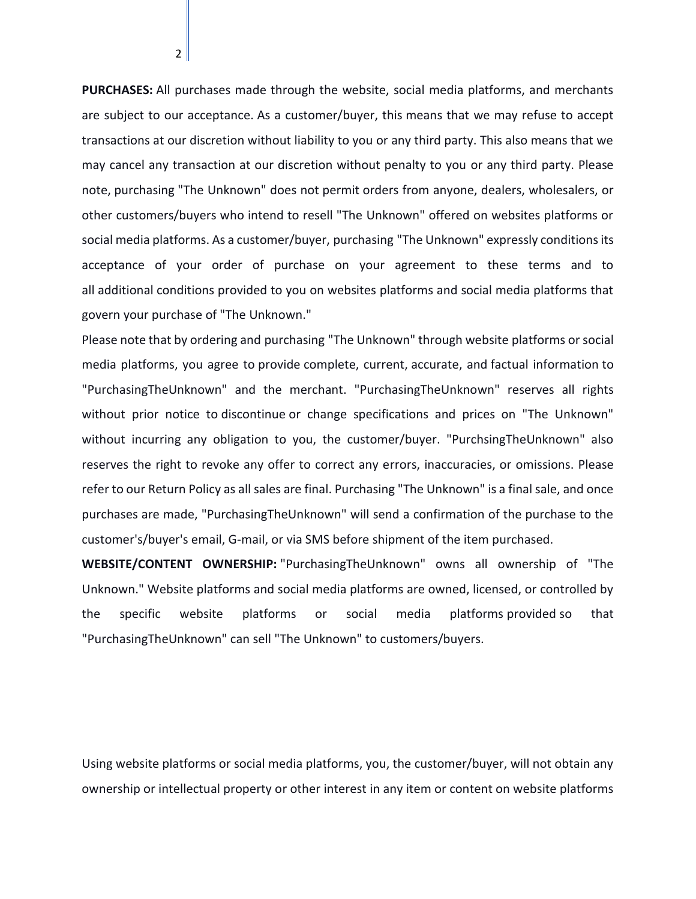**PURCHASES:** All purchases made through the website, social media platforms, and merchants are subject to our acceptance. As a customer/buyer, this means that we may refuse to accept transactions at our discretion without liability to you or any third party. This also means that we may cancel any transaction at our discretion without penalty to you or any third party. Please note, purchasing "The Unknown" does not permit orders from anyone, dealers, wholesalers, or other customers/buyers who intend to resell "The Unknown" offered on websites platforms or social media platforms. As a customer/buyer, purchasing "The Unknown" expressly conditions its acceptance of your order of purchase on your agreement to these terms and to all additional conditions provided to you on websites platforms and social media platforms that govern your purchase of "The Unknown."

Please note that by ordering and purchasing "The Unknown" through website platforms or social media platforms, you agree to provide complete, current, accurate, and factual information to "PurchasingTheUnknown" and the merchant. "PurchasingTheUnknown" reserves all rights without prior notice to discontinue or change specifications and prices on "The Unknown" without incurring any obligation to you, the customer/buyer. "PurchsingTheUnknown" also reserves the right to revoke any offer to correct any errors, inaccuracies, or omissions. Please refer to our Return Policy as all sales are final. Purchasing "The Unknown" is a final sale, and once purchases are made, "PurchasingTheUnknown" will send a confirmation of the purchase to the customer's/buyer's email, G-mail, or via SMS before shipment of the item purchased.

**WEBSITE/CONTENT OWNERSHIP:** "PurchasingTheUnknown" owns all ownership of "The Unknown." Website platforms and social media platforms are owned, licensed, or controlled by the specific website platforms or social media platforms provided so that "PurchasingTheUnknown" can sell "The Unknown" to customers/buyers.

Using website platforms or social media platforms, you, the customer/buyer, will not obtain any ownership or intellectual property or other interest in any item or content on website platforms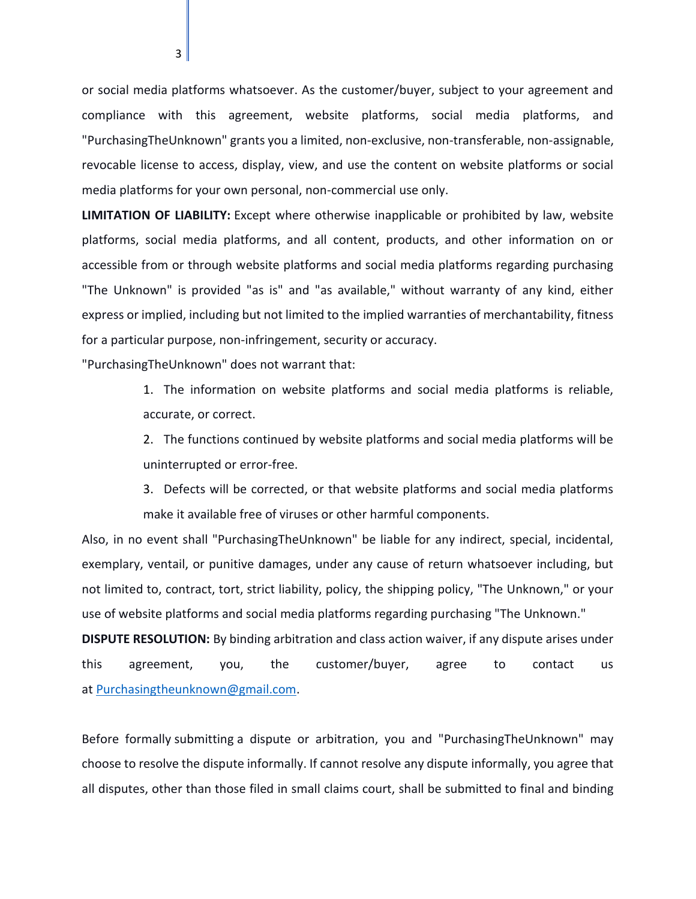or social media platforms whatsoever. As the customer/buyer, subject to your agreement and compliance with this agreement, website platforms, social media platforms, and "PurchasingTheUnknown" grants you a limited, non-exclusive, non-transferable, non-assignable, revocable license to access, display, view, and use the content on website platforms or social media platforms for your own personal, non-commercial use only.

**LIMITATION OF LIABILITY:** Except where otherwise inapplicable or prohibited by law, website platforms, social media platforms, and all content, products, and other information on or accessible from or through website platforms and social media platforms regarding purchasing "The Unknown" is provided "as is" and "as available," without warranty of any kind, either express or implied, including but not limited to the implied warranties of merchantability, fitness for a particular purpose, non-infringement, security or accuracy.

"PurchasingTheUnknown" does not warrant that:

1. The information on website platforms and social media platforms is reliable, accurate, or correct.

2. The functions continued by website platforms and social media platforms will be uninterrupted or error-free.

3. Defects will be corrected, or that website platforms and social media platforms make it available free of viruses or other harmful components.

Also, in no event shall "PurchasingTheUnknown" be liable for any indirect, special, incidental, exemplary, ventail, or punitive damages, under any cause of return whatsoever including, but not limited to, contract, tort, strict liability, policy, the shipping policy, "The Unknown," or your use of website platforms and social media platforms regarding purchasing "The Unknown."

**DISPUTE RESOLUTION:** By binding arbitration and class action waiver, if any dispute arises under this agreement, you, the customer/buyer, agree to contact us at [Purchasingtheunknown@gmail.com.](mailto:PurchasingtheUnknown@gmail.com)

Before formally submitting a dispute or arbitration, you and "PurchasingTheUnknown" may choose to resolve the dispute informally. If cannot resolve any dispute informally, you agree that all disputes, other than those filed in small claims court, shall be submitted to final and binding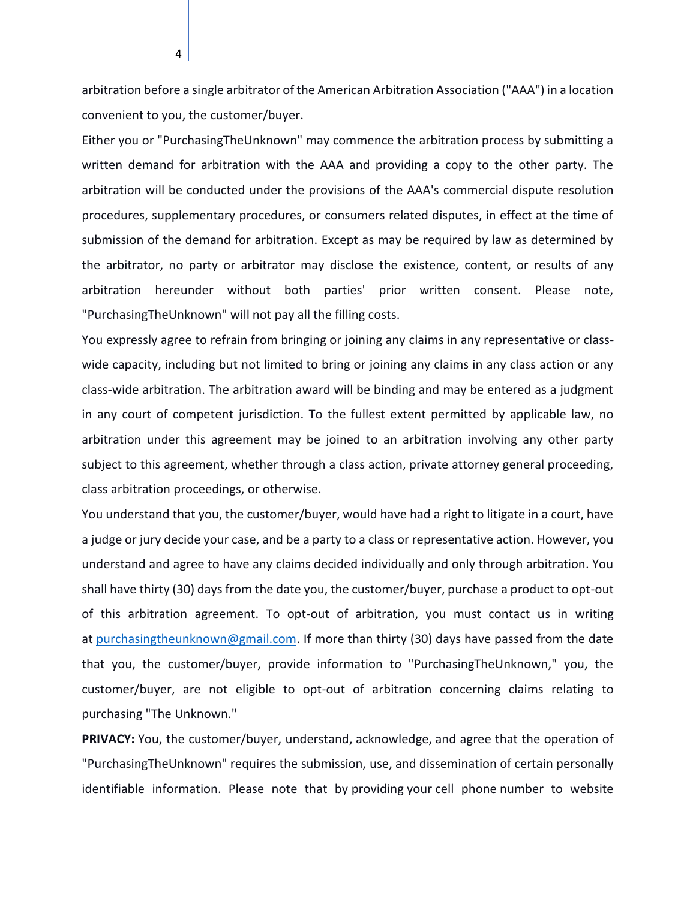arbitration before a single arbitrator of the American Arbitration Association ("AAA") in a location convenient to you, the customer/buyer.

Either you or "PurchasingTheUnknown" may commence the arbitration process by submitting a written demand for arbitration with the AAA and providing a copy to the other party. The arbitration will be conducted under the provisions of the AAA's commercial dispute resolution procedures, supplementary procedures, or consumers related disputes, in effect at the time of submission of the demand for arbitration. Except as may be required by law as determined by the arbitrator, no party or arbitrator may disclose the existence, content, or results of any arbitration hereunder without both parties' prior written consent. Please note, "PurchasingTheUnknown" will not pay all the filling costs.

You expressly agree to refrain from bringing or joining any claims in any representative or classwide capacity, including but not limited to bring or joining any claims in any class action or any class-wide arbitration. The arbitration award will be binding and may be entered as a judgment in any court of competent jurisdiction. To the fullest extent permitted by applicable law, no arbitration under this agreement may be joined to an arbitration involving any other party subject to this agreement, whether through a class action, private attorney general proceeding, class arbitration proceedings, or otherwise.

You understand that you, the customer/buyer, would have had a right to litigate in a court, have a judge or jury decide your case, and be a party to a class or representative action. However, you understand and agree to have any claims decided individually and only through arbitration. You shall have thirty (30) days from the date you, the customer/buyer, purchase a product to opt-out of this arbitration agreement. To opt-out of arbitration, you must contact us in writing at [purchasingtheunknown@gmail.com.](mailto:purchasingtheunknown@gmail.com) If more than thirty (30) days have passed from the date that you, the customer/buyer, provide information to "PurchasingTheUnknown," you, the customer/buyer, are not eligible to opt-out of arbitration concerning claims relating to purchasing "The Unknown."

**PRIVACY:** You, the customer/buyer, understand, acknowledge, and agree that the operation of "PurchasingTheUnknown" requires the submission, use, and dissemination of certain personally identifiable information. Please note that by providing your cell phone number to website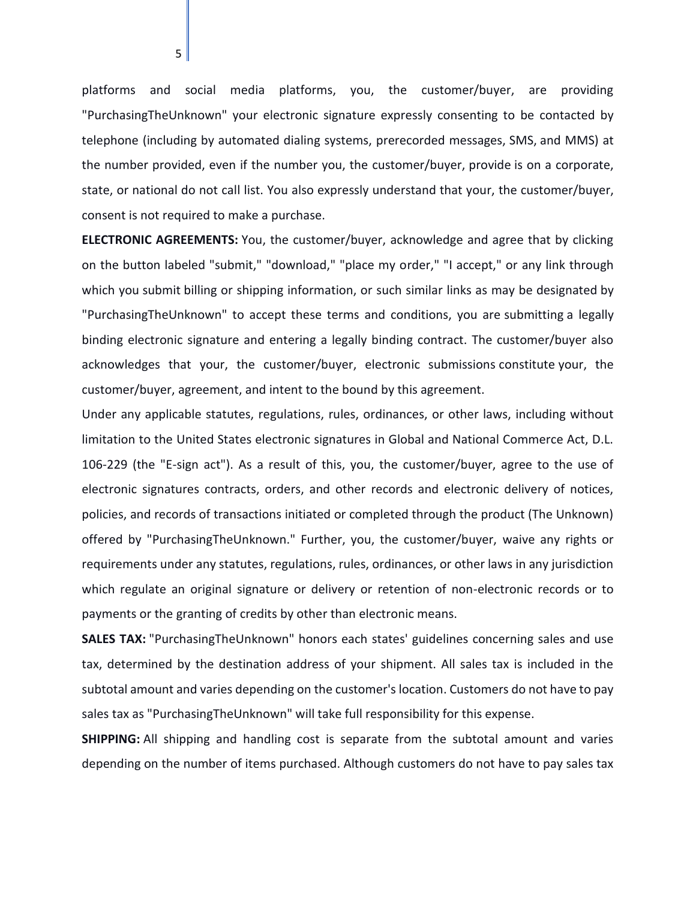platforms and social media platforms, you, the customer/buyer, are providing "PurchasingTheUnknown" your electronic signature expressly consenting to be contacted by telephone (including by automated dialing systems, prerecorded messages, SMS, and MMS) at the number provided, even if the number you, the customer/buyer, provide is on a corporate, state, or national do not call list. You also expressly understand that your, the customer/buyer, consent is not required to make a purchase.

**ELECTRONIC AGREEMENTS:** You, the customer/buyer, acknowledge and agree that by clicking on the button labeled "submit," "download," "place my order," "I accept," or any link through which you submit billing or shipping information, or such similar links as may be designated by "PurchasingTheUnknown" to accept these terms and conditions, you are submitting a legally binding electronic signature and entering a legally binding contract. The customer/buyer also acknowledges that your, the customer/buyer, electronic submissions constitute your, the customer/buyer, agreement, and intent to the bound by this agreement.

Under any applicable statutes, regulations, rules, ordinances, or other laws, including without limitation to the United States electronic signatures in Global and National Commerce Act, D.L. 106-229 (the "E-sign act"). As a result of this, you, the customer/buyer, agree to the use of electronic signatures contracts, orders, and other records and electronic delivery of notices, policies, and records of transactions initiated or completed through the product (The Unknown) offered by "PurchasingTheUnknown." Further, you, the customer/buyer, waive any rights or requirements under any statutes, regulations, rules, ordinances, or other laws in any jurisdiction which regulate an original signature or delivery or retention of non-electronic records or to payments or the granting of credits by other than electronic means.

**SALES TAX:** "PurchasingTheUnknown" honors each states' guidelines concerning sales and use tax, determined by the destination address of your shipment. All sales tax is included in the subtotal amount and varies depending on the customer's location. Customers do not have to pay sales tax as "PurchasingTheUnknown" will take full responsibility for this expense.

**SHIPPING:** All shipping and handling cost is separate from the subtotal amount and varies depending on the number of items purchased. Although customers do not have to pay sales tax